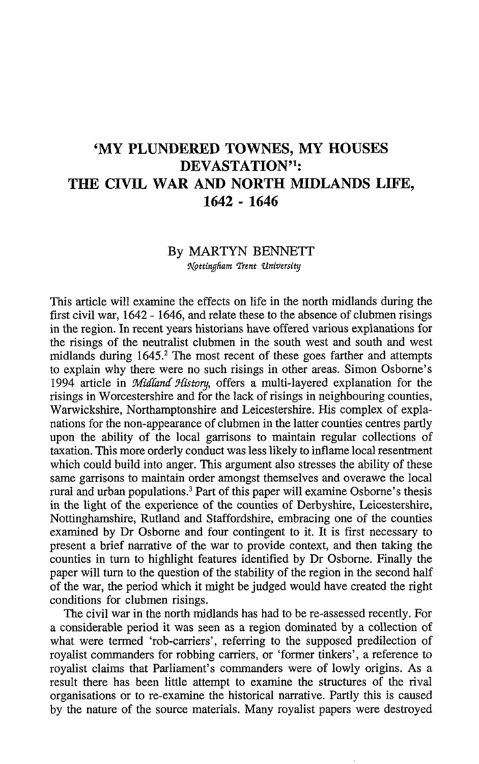## 'MY PLUNDERED TOWNES, MY HOUSES DEVASTATION'<sup>1</sup>: THE CIVIL WAR AND NORTH MIDLANDS LIFE, 1642 - 1646

## By MARTYN BENNETT

Nottingham Trent University

This article will examine the effects on life in the north midlands during the first civil war, 1642 - 1646, and relate these to the absence of clubmen risings in the region. In recent years historians have offered various explanations for the risings of the neutralist clubmen in the south west and south and west midlands during 1645.<sup>2</sup> The most recent of these goes farther and attempts to explain why there were no such risings in other areas. Simon Osborne's 1994 article in Midland History, offers a multi-layered explanation for the risings in Worcestershire and for the lack of risings in neighbouring counties, Warwickshire, Northamptonshire and Leicestershire. His complex of explanations for the non-appearance of clubmen in the latter counties centres partly upon the ability of the local garrisons to maintain regular collections of taxation. This more orderly conduct was less likely to inflame local resentment which could build into anger. This argument also stresses the ability of these same garrisons to maintain order amongst themselves and overawe the local rural and urban populations.<sup>3</sup> Part of this paper will examine Osborne's thesis in the light of the experience of the counties of Derbyshire, Leicestershire, Nottinghamshire, Rutland and Staffordshire, embracing one of the counties examined by Dr Osborne and four contingent to it. It is first necessary to present a brief narrative of the war to provide context, and then taking the counties in turn to highlight features identified by Dr Osborne. Finally the paper will turn to the question of the stability of the region in the second half of the war, the period which it might be judged would have created the right conditions for clubmen risings.

The civil war in the north midlands has had to be re-assessed recently. For a considerable period it was seen as a region dominated by a collection of what were termed 'rob-carriers', referring to the supposed predilection of royalist commanders for robbing carriers, or 'former tinkers', a reference to royalist claims that Parliament's commanders were of lowly origins. As a result there has been little attempt to examine the structures of the rival organisations or to re-examine the historical narrative. Partly this is caused by the nature of the source materials. Many royalist papers were destroyed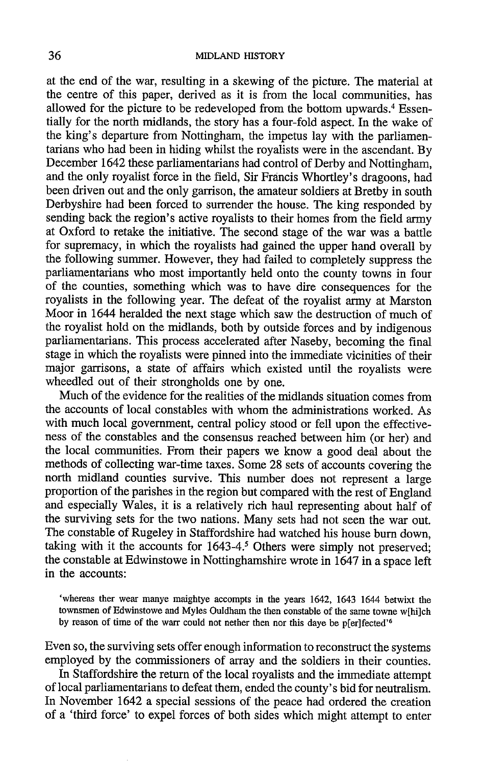at the end of the war, resulting in a skewing of the picture. The material at the centre of this paper, derived as it is from the local communities, has allowed for the picture to be redeveloped from the bottom upwards.<sup>4</sup> Essentially for the north midlands, the story has a four-fold aspect. In the wake of the king's departure from Nottingham, the impetus lay with the parliamentarians who had been in hiding whilst the royalists were in the ascendant. By December 1642 these parliamentarians had control of Derby and Nottingham, and the only royalist force in the field, Sir Francis Whortley's dragoons, had been driven out and the only garrison, the amateur soldiers at Brethy in south Derbyshire had been forced to surrender the house. The king responded by sending back the region's active royalists to their homes from the field army at Oxford to retake the initiative. The second stage of the war was a battle for supremacy, in which the royalists had gained the upper hand overall by the following summer. However, they had failed to completely suppress the parliamentarians who most importantly held onto the county towns in four of the counties, something which was to have dire consequences for the royalists in the following year. The defeat of the royalist army at Marston Moor in 1644 heralded the next stage which saw the destruction of much of the royalist hold on the midlands, both by outside forces and by indigenous parliamentarians. This process accelerated after Naseby, becoming the final stage in which the royalists were pinned into the immediate vicinities of their major garrisons, a state of affairs which existed until the royalists were wheedled out of their strongholds one by one.

Much of the evidence for the realities of the midlands situation comes from the accounts of local constables with whom the administrations worked. As with much local government, central policy stood or fell upon the effectiveness of the constables and the consensus reached between him (or her) and the local communities. From their papers we know a good deal about the methods of collecting war-time taxes. Some 28 sets of accounts covering the north midland counties survive. This number does not represent a large proportion of the parishes in the region but compared with the rest of England and especially Wales, it is a relatively rich haul representing about half of the surviving sets for the two nations. Many sets had not seen the war out. The constable of Rugeley in Staffordshire had watched his house burn down. taking with it the accounts for 1643-4.<sup>5</sup> Others were simply not preserved; the constable at Edwinstowe in Nottinghamshire wrote in  $1647$  in a space left in the accounts:

'whereas ther wear manye maightye accompts in the years 1642, 1643 1644 betwixt the townsmen of Edwinstowe and Myles Ouldham the then constable of the same towne w[hi]ch by reason of time of the warr could not nether then nor this daye be p[er]fected<sup>16</sup>

Even so, the surviving sets offer enough information to reconstruct the systems employed by the commissioners of array and the soldiers in their counties.

In Staffordshire the return of the local royalists and the immediate attempt of local parliamentarians to defeat them, ended the county's bid for neutralism. In November 1642 a special sessions of the peace had ordered the creation of a 'third force' to expel forces of both sides which might attempt to enter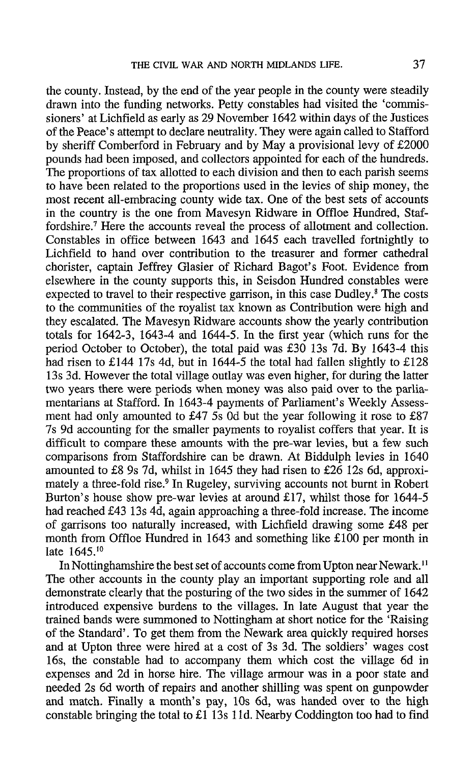the county. Instead, by the end of the year people in the county were steadily drawn into the funding networks. Petty constables had visited the 'commissioners' at Lichfield as early as 29 November 1642 within days of the Justices of the Peace's attempt to declare neutrality. They were again called to Stafford by sheriff Comberford in February and by May a provisional levy of £2000 pounds had been imposed, and collectors appointed for each of the hundreds. The proportions of tax allotted to each division and then to each parish seems to have been related to the proportions used in the levies of ship money, the most recent all-embracing county wide tax. One of the best sets of accounts in the country is the one from Mavesyn Ridware in Offloe Hundred, Staffordshire.<sup>7</sup> Here the accounts reveal the process of allotment and collection. Constables in office between 1643 and 1645 each travelled fortnightly to Lichfield to hand over contribution to the treasurer and former cathedral chorister, captain Jeffrey Glasier of Richard Bagot's Foot. Evidence from elsewhere in the county supports this, in Seisdon Hundred constables were expected to travel to their respective garrison, in this case Dudley.<sup>8</sup> The costs to the communities of the royalist tax known as Contribution were high and they escalated. The Mavesyn Ridware accounts show the yearly contribution totals for 1642-3, 1643-4 and 1644-5. In the first year (which runs for the period October to October), the total paid was £30 13s 7d. By 1643-4 this had risen to £144 17s 4d, but in 1644-5 the total had fallen slightly to £128 13s 3d. However the total village outlay was even higher, for during the latter two years there were periods when money was also paid over to the parliamentarians at Stafford. In 1643-4 payments of Parliament's Weekly Assessment had only amounted to £47 5s 0d but the year following it rose to £87 7s 9d accounting for the smaller payments to royalist coffers that year. It is difficult to compare these amounts with the pre-war levies, but a few such comparisons from Staffordshire can be drawn. At Biddulph levies in 1640 amounted to £8 9s 7d, whilst in 1645 they had risen to £26 12s 6d, approximately a three-fold rise.<sup>9</sup> In Rugeley, surviving accounts not burnt in Robert Burton's house show pre-war levies at around £17, whilst those for 1644-5 had reached £43 13s 4d, again approaching a three-fold increase. The income of garrisons too naturally increased, with Lichfield drawing some £48 per month from Offloe Hundred in 1643 and something like £100 per month in late 1645.<sup>10</sup>

In Nottinghamshire the best set of accounts come from Upton near Newark.<sup>11</sup> The other accounts in the county play an important supporting role and all demonstrate clearly that the posturing of the two sides in the summer of 1642 introduced expensive burdens to the villages. In late August that year the trained bands were summoned to Nottingham at short notice for the 'Raising of the Standard'. To get them from the Newark area quickly required horses and at Upton three were hired at a cost of 3s 3d. The soldiers' wages cost 16s, the constable had to accompany them which cost the village 6d in expenses and 2d in horse hire. The village armour was in a poor state and needed 2s 6d worth of repairs and another shilling was spent on gunpowder and match. Finally a month's pay, 10s 6d, was handed over to the high constable bringing the total to £1 13s 11d. Nearby Coddington too had to find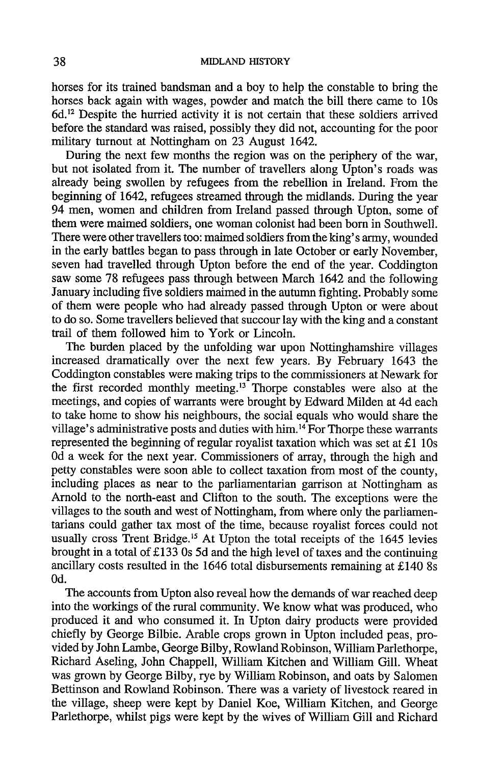horses for its trained bandsman and a boy to help the constable to bring the horses back again with wages, powder and match the bill there came to 10s 6d.<sup>12</sup> Despite the hurried activity it is not certain that these soldiers arrived before the standard was raised, possibly they did not, accounting for the poor military turnout at Nottingham on 23 August 1642.

During the next few months the region was on the periphery of the war, but not isolated from it. The number of travellers along Upton's roads was already being swollen by refugees from the rebellion in Ireland. From the beginning of 1642, refugees streamed through the midlands. During the year 94 men, women and children from Ireland passed through Upton, some of them were maimed soldiers, one woman colonist had been born in Southwell. There were other travellers too: maimed soldiers from the king's army, wounded in the early battles began to pass through in late October or early November. seven had travelled through Upton before the end of the year. Coddington saw some 78 refugees pass through between March 1642 and the following January including five soldiers maimed in the autumn fighting. Probably some of them were people who had already passed through Upton or were about to do so. Some travellers believed that succour lay with the king and a constant trail of them followed him to York or Lincoln.

The burden placed by the unfolding war upon Nottinghamshire villages increased dramatically over the next few years. By February 1643 the Coddington constables were making trips to the commissioners at Newark for the first recorded monthly meeting.<sup>13</sup> Thorpe constables were also at the meetings, and copies of warrants were brought by Edward Milden at 4d each to take home to show his neighbours, the social equals who would share the village's administrative posts and duties with him.<sup>14</sup> For Thorpe these warrants represented the beginning of regular royalist taxation which was set at £1 10s Od a week for the next year. Commissioners of array, through the high and petty constables were soon able to collect taxation from most of the county, including places as near to the parliamentarian garrison at Nottingham as Arnold to the north-east and Clifton to the south. The exceptions were the villages to the south and west of Nottingham, from where only the parliamentarians could gather tax most of the time, because royalist forces could not usually cross Trent Bridge.<sup>15</sup> At Upton the total receipts of the 1645 levies brought in a total of £133 0s 5d and the high level of taxes and the continuing ancillary costs resulted in the 1646 total disbursements remaining at £140 8s  $0d$ .

The accounts from Upton also reveal how the demands of war reached deep into the workings of the rural community. We know what was produced, who produced it and who consumed it. In Upton dairy products were provided chiefly by George Bilbie. Arable crops grown in Upton included peas, provided by John Lambe, George Bilby, Rowland Robinson, William Parlethorpe, Richard Aseling, John Chappell, William Kitchen and William Gill. Wheat was grown by George Bilby, rye by William Robinson, and oats by Salomen Bettinson and Rowland Robinson. There was a variety of livestock reared in the village, sheep were kept by Daniel Koe, William Kitchen, and George Parlethorpe, whilst pigs were kept by the wives of William Gill and Richard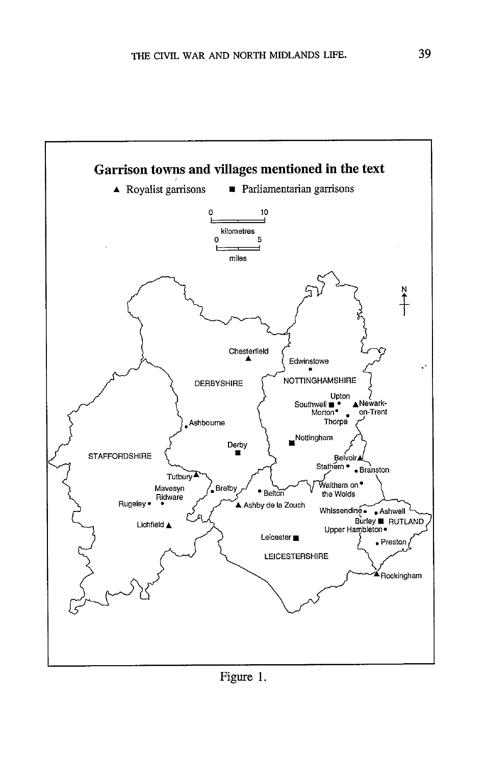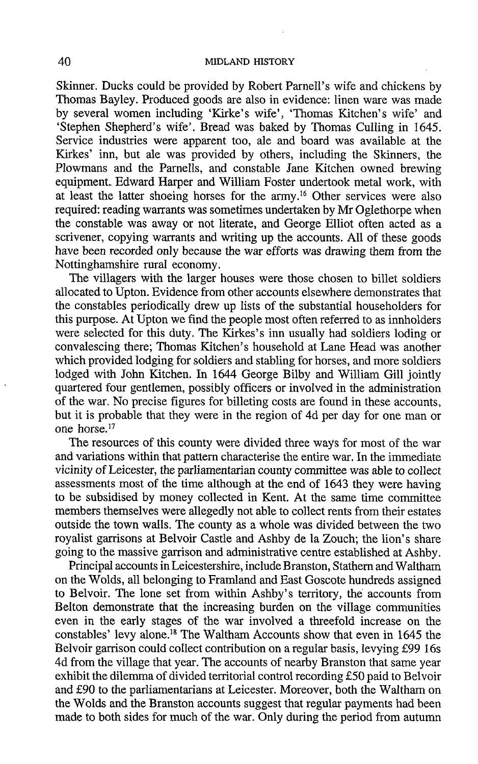Skinner. Ducks could be provided by Robert Parnell's wife and chickens by Thomas Bayley. Produced goods are also in evidence: linen ware was made by several women including 'Kirke's wife', 'Thomas Kitchen's wife' and 'Stephen Shepherd's wife'. Bread was baked by Thomas Culling in 1645. Service industries were apparent too, ale and board was available at the Kirkes' inn, but ale was provided by others, including the Skinners, the Plowmans and the Parnells, and constable Jane Kitchen owned brewing equipment. Edward Harper and William Foster undertook metal work, with at least the latter shoeing horses for the army.<sup>16</sup> Other services were also required: reading warrants was sometimes undertaken by Mr Oglethorne when the constable was away or not literate, and George Elliot often acted as a scrivener, copying warrants and writing up the accounts. All of these goods have been recorded only because the war efforts was drawing them from the Nottinghamshire rural economy.

The villagers with the larger houses were those chosen to billet soldiers allocated to Upton. Evidence from other accounts elsewhere demonstrates that the constables periodically drew up lists of the substantial householders for this purpose. At Upton we find the people most often referred to as innholders were selected for this duty. The Kirkes's inn usually had soldiers loding or convalescing there; Thomas Kitchen's household at Lane Head was another which provided lodging for soldiers and stabling for horses, and more soldiers lodged with John Kitchen. In 1644 George Bilby and William Gill jointly quartered four gentlemen, possibly officers or involved in the administration of the war. No precise figures for billeting costs are found in these accounts. but it is probable that they were in the region of 4d per day for one man or one horse.<sup>17</sup>

The resources of this county were divided three ways for most of the war and variations within that pattern characterise the entire war. In the immediate vicinity of Leicester, the parliamentarian county committee was able to collect assessments most of the time although at the end of 1643 they were having to be subsidised by money collected in Kent. At the same time committee members themselves were allegedly not able to collect rents from their estates outside the town walls. The county as a whole was divided between the two royalist garrisons at Belvoir Castle and Ashby de la Zouch; the lion's share going to the massive garrison and administrative centre established at Ashby.

Principal accounts in Leicestershire, include Branston, Stathern and Waltham on the Wolds, all belonging to Framland and East Goscote hundreds assigned to Belvoir. The lone set from within Ashby's territory, the accounts from Belton demonstrate that the increasing burden on the village communities even in the early stages of the war involved a threefold increase on the constables' levy alone.<sup>18</sup> The Waltham Accounts show that even in 1645 the Belvoir garrison could collect contribution on a regular basis, levying £99 16s 4d from the village that year. The accounts of nearby Branston that same year exhibit the dilemma of divided territorial control recording £50 paid to Belvoir and £90 to the parliamentarians at Leicester. Moreover, both the Waltham on the Wolds and the Branston accounts suggest that regular payments had been made to both sides for much of the war. Only during the period from autumn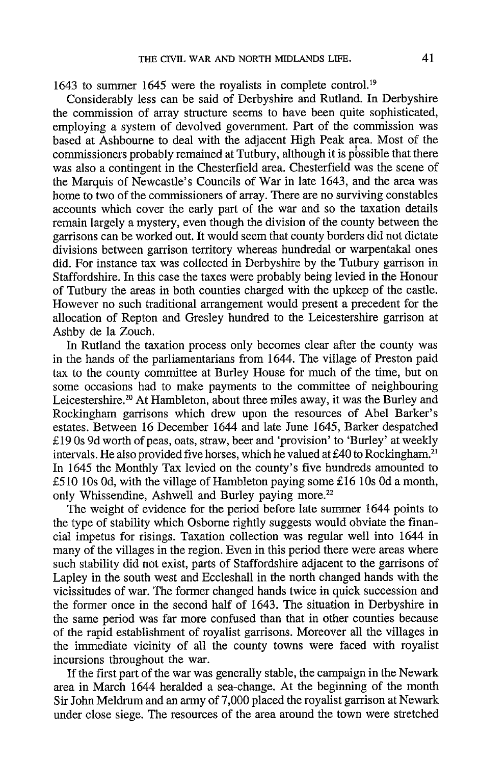1643 to summer 1645 were the royalists in complete control.<sup>19</sup>

Considerably less can be said of Derbyshire and Rutland. In Derbyshire the commission of array structure seems to have been quite sophisticated, employing a system of devolved government. Part of the commission was based at Ashbourne to deal with the adjacent High Peak area. Most of the commissioners probably remained at Tutbury, although it is possible that there was also a contingent in the Chesterfield area. Chesterfield was the scene of the Marquis of Newcastle's Councils of War in late 1643, and the area was home to two of the commissioners of array. There are no surviving constables accounts which cover the early part of the war and so the taxation details remain largely a mystery, even though the division of the county between the garrisons can be worked out. It would seem that county borders did not dictate divisions between garrison territory whereas hundredal or warpentakal ones did. For instance tax was collected in Derbyshire by the Tutbury garrison in Staffordshire. In this case the taxes were probably being levied in the Honour of Tutbury the areas in both counties charged with the upkeep of the castle. However no such traditional arrangement would present a precedent for the allocation of Repton and Gresley hundred to the Leicestershire garrison at Ashby de la Zouch.

In Rutland the taxation process only becomes clear after the county was in the hands of the parliamentarians from 1644. The village of Preston paid tax to the county committee at Burley House for much of the time, but on some occasions had to make payments to the committee of neighbouring Leicestershire.<sup>20</sup> At Hambleton, about three miles away, it was the Burley and Rockingham garrisons which drew upon the resources of Abel Barker's estates. Between 16 December 1644 and late June 1645, Barker despatched £19 0s 9d worth of peas, oats, straw, beer and 'provision' to 'Burley' at weekly intervals. He also provided five horses, which he valued at £40 to Rockingham.<sup>21</sup> In 1645 the Monthly Tax levied on the county's five hundreds amounted to £510 10s 0d, with the village of Hambleton paying some £16 10s 0d a month, only Whissendine, Ashwell and Burley paying more.<sup>22</sup>

The weight of evidence for the period before late summer 1644 points to the type of stability which Osborne rightly suggests would obviate the financial impetus for risings. Taxation collection was regular well into 1644 in many of the villages in the region. Even in this period there were areas where such stability did not exist, parts of Staffordshire adjacent to the garrisons of Lapley in the south west and Eccleshall in the north changed hands with the vicissitudes of war. The former changed hands twice in quick succession and the former once in the second half of 1643. The situation in Derbyshire in the same period was far more confused than that in other counties because of the rapid establishment of royalist garrisons. Moreover all the villages in the immediate vicinity of all the county towns were faced with royalist incursions throughout the war.

If the first part of the war was generally stable, the campaign in the Newark area in March 1644 heralded a sea-change. At the beginning of the month Sir John Meldrum and an army of 7,000 placed the royalist garrison at Newark under close siege. The resources of the area around the town were stretched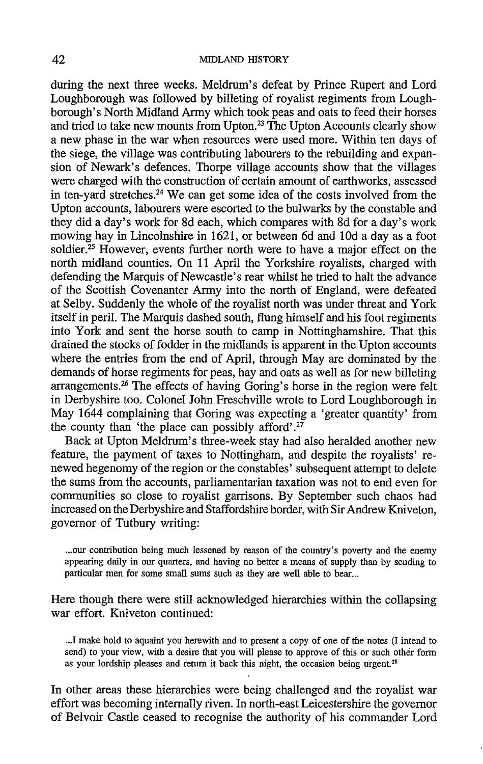during the next three weeks. Meldrum's defeat by Prince Rupert and Lord Loughborough was followed by billeting of royalist regiments from Loughborough's North Midland Army which took peas and oats to feed their horses and tried to take new mounts from Upton.<sup>23</sup> The Upton Accounts clearly show a new phase in the war when resources were used more. Within ten days of the siege, the village was contributing labourers to the rebuilding and expansion of Newark's defences. Thorpe village accounts show that the villages were charged with the construction of certain amount of earthworks, assessed in ten-yard stretches.<sup>24</sup> We can get some idea of the costs involved from the Upton accounts, labourers were escorted to the bulwarks by the constable and they did a day's work for 8d each, which compares with 8d for a day's work mowing hav in Lincolnshire in 1621, or between 6d and 10d a day as a foot soldier.<sup>25</sup> However, events further north were to have a major effect on the north midland counties. On 11 April the Yorkshire royalists, charged with defending the Marquis of Newcastle's rear whilst he tried to halt the advance of the Scottish Covenanter Army into the north of England, were defeated at Selby. Suddenly the whole of the royalist north was under threat and York itself in peril. The Marquis dashed south, flung himself and his foot regiments into York and sent the horse south to camp in Nottinghamshire. That this drained the stocks of fodder in the midlands is apparent in the Upton accounts where the entries from the end of April, through May are dominated by the demands of horse regiments for peas, hay and oats as well as for new billeting arrangements.<sup>26</sup> The effects of having Goring's horse in the region were felt in Derbyshire too. Colonel John Freschville wrote to Lord Loughborough in May 1644 complaining that Goring was expecting a 'greater quantity' from the county than 'the place can possibly afford'.<sup>27</sup>

Back at Upton Meldrum's three-week stay had also heralded another new feature, the payment of taxes to Nottingham, and despite the royalists' renewed hegenomy of the region or the constables' subsequent attempt to delete the sums from the accounts, parliamentarian taxation was not to end even for communities so close to royalist garrisons. By September such chaos had increased on the Derbyshire and Staffordshire border, with Sir Andrew Kniveton, governor of Tutbury writing:

...our contribution being much lessened by reason of the country's poverty and the enemy appearing daily in our quarters, and having no better a means of supply than by sending to particular men for some small sums such as they are well able to bear...

Here though there were still acknowledged hierarchies within the collapsing war effort. Kniveton continued:

...I make bold to aquaint you herewith and to present a copy of one of the notes (I intend to send) to your view, with a desire that you will please to approve of this or such other form as your lordship pleases and return it back this night, the occasion being urgent.<sup>28</sup>

In other areas these hierarchies were being challenged and the royalist war effort was becoming internally riven. In north-east Leicestershire the governor of Belvoir Castle ceased to recognise the authority of his commander Lord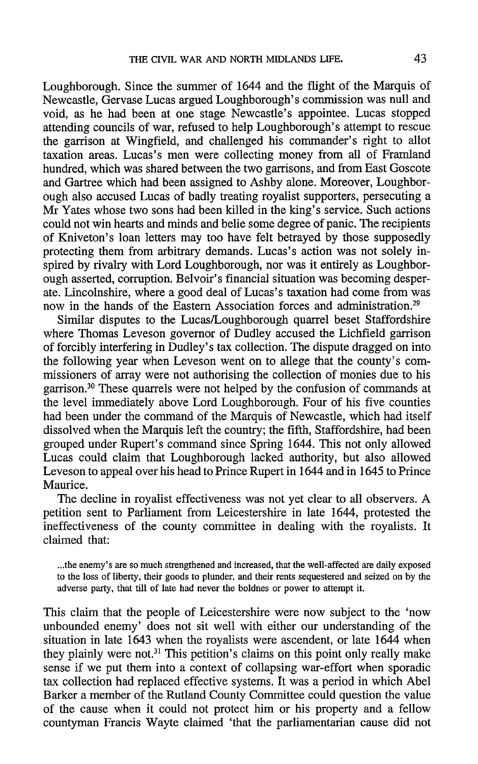Loughborough. Since the summer of 1644 and the flight of the Marquis of Newcastle, Gervase Lucas argued Loughborough's commission was null and void, as he had been at one stage Newcastle's appointee. Lucas stopped attending councils of war, refused to help Loughborough's attempt to rescue the garrison at Wingfield, and challenged his commander's right to allot taxation areas. Lucas's men were collecting money from all of Framland hundred, which was shared between the two garrisons, and from East Goscote and Gartree which had been assigned to Ashby alone. Moreover, Loughborough also accused Lucas of badly treating royalist supporters, persecuting a Mr Yates whose two sons had been killed in the king's service. Such actions could not win hearts and minds and belie some degree of panic. The recipients of Kniveton's loan letters may too have felt betrayed by those supposedly protecting them from arbitrary demands. Lucas's action was not solely inspired by rivalry with Lord Loughborough, nor was it entirely as Loughborough asserted, corruption. Belvoir's financial situation was becoming desperate. Lincolnshire, where a good deal of Lucas's taxation had come from was now in the hands of the Eastern Association forces and administration.<sup>29</sup>

Similar disputes to the Lucas/Loughborough quarrel beset Staffordshire where Thomas Leveson governor of Dudley accused the Lichfield garrison of forcibly interfering in Dudley's tax collection. The dispute dragged on into the following year when Leveson went on to allege that the county's commissioners of array were not authorising the collection of monies due to his garrison.<sup>30</sup> These quarrels were not helped by the confusion of commands at the level immediately above Lord Loughborough. Four of his five counties had been under the command of the Marquis of Newcastle, which had itself dissolved when the Marquis left the country; the fifth, Staffordshire, had been grouped under Rupert's command since Spring 1644. This not only allowed Lucas could claim that Loughborough lacked authority, but also allowed Leveson to appeal over his head to Prince Rupert in 1644 and in 1645 to Prince Maurice.

The decline in royalist effectiveness was not yet clear to all observers. A petition sent to Parliament from Leicestershire in late 1644, protested the ineffectiveness of the county committee in dealing with the royalists. It claimed that:

...the enemy's are so much strengthened and increased, that the well-affected are daily exposed to the loss of liberty, their goods to plunder, and their rents sequestered and seized on by the adverse party, that till of late had never the boldnes or power to attempt it.

This claim that the people of Leicestershire were now subject to the 'now unbounded enemy' does not sit well with either our understanding of the situation in late 1643 when the royalists were ascendent, or late 1644 when they plainly were not.<sup>31</sup> This petition's claims on this point only really make sense if we put them into a context of collapsing war-effort when sporadic tax collection had replaced effective systems. It was a period in which Abel Barker a member of the Rutland County Committee could question the value of the cause when it could not protect him or his property and a fellow countyman Francis Wayte claimed 'that the parliamentarian cause did not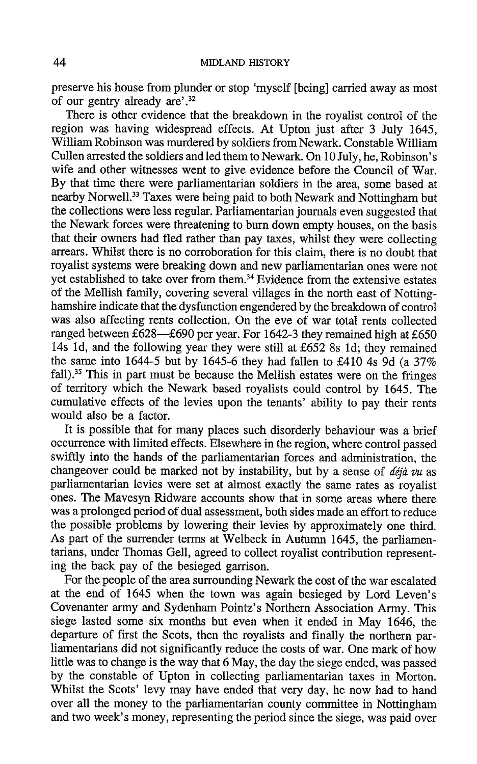preserve his house from plunder or stop 'myself [being] carried away as most of our gentry already are'.<sup>32</sup>

There is other evidence that the breakdown in the royalist control of the region was having widespread effects. At Upton just after 3 July 1645, William Robinson was murdered by soldiers from Newark. Constable William Cullen arrested the soldiers and led them to Newark. On 10 July, he, Robinson's wife and other witnesses went to give evidence before the Council of War. By that time there were parliamentarian soldiers in the area, some based at nearby Norwell.<sup>33</sup> Taxes were being paid to both Newark and Nottingham but the collections were less regular. Parliamentarian journals even suggested that the Newark forces were threatening to burn down empty houses, on the basis that their owners had fled rather than pay taxes, whilst they were collecting arrears. Whilst there is no corroboration for this claim, there is no doubt that royalist systems were breaking down and new parliamentarian ones were not yet established to take over from them.<sup>34</sup> Evidence from the extensive estates of the Mellish family, covering several villages in the north east of Nottinghamshire indicate that the dysfunction engendered by the breakdown of control was also affecting rents collection. On the eve of war total rents collected ranged between £628—£690 per year. For 1642-3 they remained high at £650 14s 1d, and the following year they were still at £652 8s 1d; they remained the same into 1644-5 but by 1645-6 they had fallen to £410 4s 9d (a  $37\%$ ) fall).<sup>35</sup> This in part must be because the Mellish estates were on the fringes of territory which the Newark based royalists could control by 1645. The cumulative effects of the levies upon the tenants' ability to pay their rents would also be a factor.

It is possible that for many places such disorderly behaviour was a brief occurrence with limited effects. Elsewhere in the region, where control passed swiftly into the hands of the parliamentarian forces and administration, the changeover could be marked not by instability, but by a sense of  $d\acute{e}i\grave{a}$  vu as parliamentarian levies were set at almost exactly the same rates as royalist ones. The Mavesyn Ridware accounts show that in some areas where there was a prolonged period of dual assessment, both sides made an effort to reduce the possible problems by lowering their levies by approximately one third. As part of the surrender terms at Welbeck in Autumn 1645, the parliamentarians, under Thomas Gell, agreed to collect royalist contribution representing the back pay of the besieged garrison.

For the people of the area surrounding Newark the cost of the war escalated at the end of 1645 when the town was again besieged by Lord Leven's Covenanter army and Sydenham Pointz's Northern Association Army. This siege lasted some six months but even when it ended in May 1646, the departure of first the Scots, then the royalists and finally the northern parliamentarians did not significantly reduce the costs of war. One mark of how little was to change is the way that 6 May, the day the siege ended, was passed by the constable of Upton in collecting parliamentarian taxes in Morton. Whilst the Scots' levy may have ended that very day, he now had to hand over all the money to the parliamentarian county committee in Nottingham and two week's money, representing the period since the siege, was paid over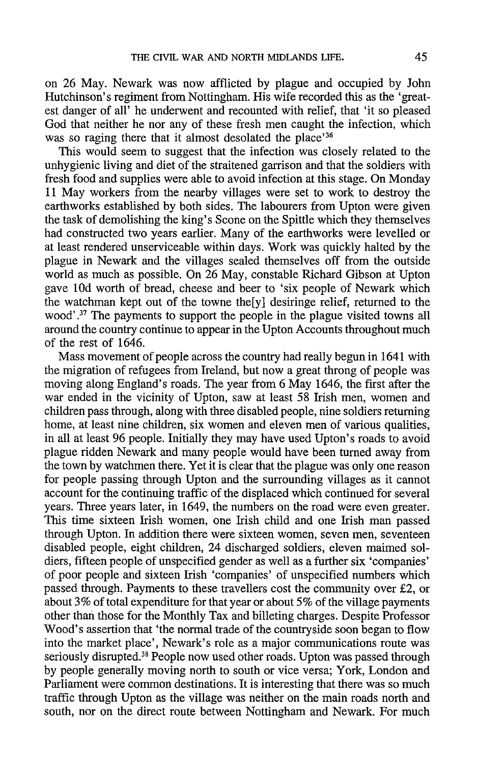on 26 May. Newark was now afflicted by plague and occupied by John Hutchinson's regiment from Nottingham. His wife recorded this as the 'greatest danger of all' he underwent and recounted with relief, that 'it so pleased God that neither he nor any of these fresh men caught the infection, which was so raging there that it almost desolated the place'<sup>36</sup>

This would seem to suggest that the infection was closely related to the unhygienic living and diet of the straitened garrison and that the soldiers with fresh food and supplies were able to avoid infection at this stage. On Monday 11 May workers from the nearby villages were set to work to destroy the earthworks established by both sides. The labourers from Upton were given the task of demolishing the king's Scone on the Spittle which they themselves had constructed two years earlier. Many of the earthworks were levelled or at least rendered unserviceable within days. Work was quickly halted by the plague in Newark and the villages sealed themselves off from the outside world as much as possible. On 26 May, constable Richard Gibson at Upton gave 10d worth of bread, cheese and beer to 'six people of Newark which the watchman kept out of the towne the [y] desiringe relief, returned to the wood'.<sup>37</sup> The payments to support the people in the plague visited towns all around the country continue to appear in the Upton Accounts throughout much of the rest of 1646.

Mass movement of people across the country had really begun in 1641 with the migration of refugees from Ireland, but now a great throng of people was moving along England's roads. The year from 6 May 1646, the first after the war ended in the vicinity of Upton, saw at least 58 Irish men, women and children pass through, along with three disabled people, nine soldiers returning home, at least nine children, six women and eleven men of various qualities, in all at least 96 people. Initially they may have used Upton's roads to avoid plague ridden Newark and many people would have been turned away from the town by watchmen there. Yet it is clear that the plague was only one reason for people passing through Upton and the surrounding villages as it cannot account for the continuing traffic of the displaced which continued for several years. Three years later, in 1649, the numbers on the road were even greater. This time sixteen Irish women, one Irish child and one Irish man passed through Upton. In addition there were sixteen women, seven men, seventeen disabled people, eight children, 24 discharged soldiers, eleven maimed soldiers, fifteen people of unspecified gender as well as a further six 'companies' of poor people and sixteen Irish 'companies' of unspecified numbers which passed through. Payments to these travellers cost the community over £2, or about 3% of total expenditure for that year or about 5% of the village payments other than those for the Monthly Tax and billeting charges. Despite Professor Wood's assertion that 'the normal trade of the countryside soon began to flow into the market place', Newark's role as a major communications route was seriously disrupted.<sup>38</sup> People now used other roads. Upton was passed through by people generally moving north to south or vice versa; York, London and Parliament were common destinations. It is interesting that there was so much traffic through Upton as the village was neither on the main roads north and south, nor on the direct route between Nottingham and Newark. For much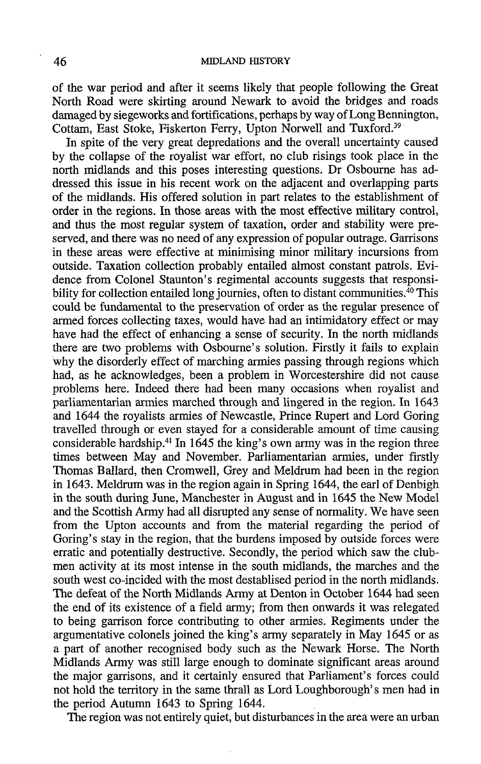of the war period and after it seems likely that people following the Great North Road were skirting around Newark to avoid the bridges and roads damaged by siegeworks and fortifications, perhaps by way of Long Bennington, Cottam, East Stoke, Fiskerton Ferry, Upton Norwell and Tuxford.<sup>39</sup>

In spite of the very great depredations and the overall uncertainty caused by the collapse of the royalist war effort, no club risings took place in the north midlands and this poses interesting questions. Dr Osbourne has addressed this issue in his recent work on the adjacent and overlapping parts of the midlands. His offered solution in part relates to the establishment of order in the regions. In those areas with the most effective military control. and thus the most regular system of taxation, order and stability were preserved, and there was no need of any expression of popular outrage. Garrisons in these areas were effective at minimising minor military incursions from outside. Taxation collection probably entailed almost constant patrols. Evidence from Colonel Staunton's regimental accounts suggests that responsibility for collection entailed long journies, often to distant communities.<sup>40</sup> This could be fundamental to the preservation of order as the regular presence of armed forces collecting taxes, would have had an intimidatory effect or may have had the effect of enhancing a sense of security. In the north midlands there are two problems with Osbourne's solution. Firstly it fails to explain why the disorderly effect of marching armies passing through regions which had, as he acknowledges, been a problem in Worcestershire did not cause problems here. Indeed there had been many occasions when royalist and parliamentarian armies marched through and lingered in the region. In 1643 and 1644 the royalists armies of Newcastle, Prince Rupert and Lord Goring travelled through or even stayed for a considerable amount of time causing considerable hardship.<sup>41</sup> In 1645 the king's own army was in the region three times between May and November. Parliamentarian armies, under firstly Thomas Ballard, then Cromwell, Grey and Meldrum had been in the region in 1643. Meldrum was in the region again in Spring 1644, the earl of Denbigh in the south during June, Manchester in August and in 1645 the New Model and the Scottish Army had all disrupted any sense of normality. We have seen from the Upton accounts and from the material regarding the period of Goring's stay in the region, that the burdens imposed by outside forces were erratic and potentially destructive. Secondly, the period which saw the clubmen activity at its most intense in the south midlands, the marches and the south west co-incided with the most destablised period in the north midlands. The defeat of the North Midlands Army at Denton in October 1644 had seen the end of its existence of a field army; from then onwards it was relegated to being garrison force contributing to other armies. Regiments under the argumentative colonels joined the king's army separately in May 1645 or as a part of another recognised body such as the Newark Horse. The North Midlands Army was still large enough to dominate significant areas around the major garrisons, and it certainly ensured that Parliament's forces could not hold the territory in the same thrall as Lord Loughborough's men had in the period Autumn 1643 to Spring 1644.

The region was not entirely quiet, but disturbances in the area were an urban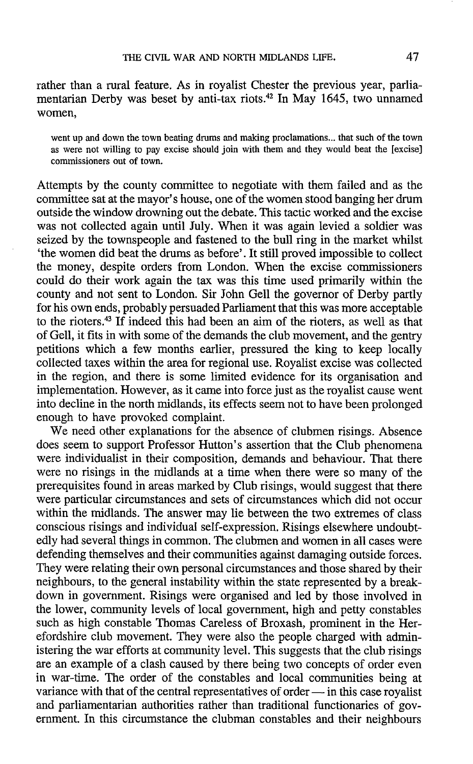rather than a rural feature. As in royalist Chester the previous year, parliamentarian Derby was beset by anti-tax riots.<sup>42</sup> In May 1645, two unnamed women.

went up and down the town beating drums and making proclamations... that such of the town as were not willing to pay excise should join with them and they would beat the [excise] commissioners out of town.

Attempts by the county committee to negotiate with them failed and as the committee sat at the mayor's house, one of the women stood banging her drum outside the window drowning out the debate. This tactic worked and the excise was not collected again until July. When it was again levied a soldier was seized by the townspeople and fastened to the bull ring in the market whilst 'the women did beat the drums as before'. It still proved impossible to collect the money, despite orders from London. When the excise commissioners could do their work again the tax was this time used primarily within the county and not sent to London. Sir John Gell the governor of Derby partly for his own ends, probably persuaded Parliament that this was more acceptable to the rioters.<sup>43</sup> If indeed this had been an aim of the rioters, as well as that of Gell, it fits in with some of the demands the club movement, and the gentry petitions which a few months earlier, pressured the king to keep locally collected taxes within the area for regional use. Royalist excise was collected in the region, and there is some limited evidence for its organisation and implementation. However, as it came into force just as the royalist cause went into decline in the north midlands, its effects seem not to have been prolonged enough to have provoked complaint.

We need other explanations for the absence of clubmen risings. Absence does seem to support Professor Hutton's assertion that the Club phenomena were individualist in their composition, demands and behaviour. That there were no risings in the midlands at a time when there were so many of the prerequisites found in areas marked by Club risings, would suggest that there were particular circumstances and sets of circumstances which did not occur within the midlands. The answer may lie between the two extremes of class conscious risings and individual self-expression. Risings elsewhere undoubtedly had several things in common. The clubmen and women in all cases were defending themselves and their communities against damaging outside forces. They were relating their own personal circumstances and those shared by their neighbours, to the general instability within the state represented by a breakdown in government. Risings were organised and led by those involved in the lower, community levels of local government, high and petty constables such as high constable Thomas Careless of Broxash, prominent in the Herefordshire club movement. They were also the people charged with administering the war efforts at community level. This suggests that the club risings are an example of a clash caused by there being two concepts of order even in war-time. The order of the constables and local communities being at variance with that of the central representatives of order — in this case royalist and parliamentarian authorities rather than traditional functionaries of government. In this circumstance the clubman constables and their neighbours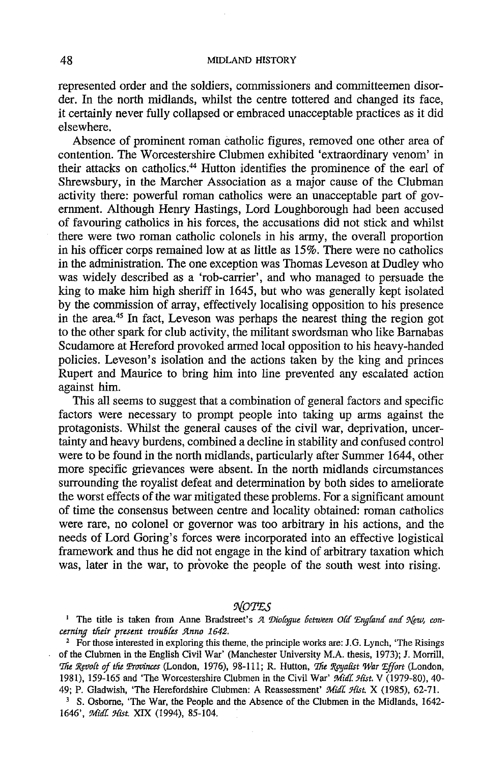## MIDLAND HISTORY

represented order and the soldiers, commissioners and committeemen disorder. In the north midlands, whilst the centre tottered and changed its face. it certainly never fully collapsed or embraced unacceptable practices as it did elsewhere.

Absence of prominent roman catholic figures, removed one other area of contention. The Worcestershire Clubmen exhibited 'extraordinary venom' in their attacks on catholics.<sup>44</sup> Hutton identifies the prominence of the earl of Shrewsbury, in the Marcher Association as a major cause of the Clubman activity there: powerful roman catholics were an unacceptable part of government. Although Henry Hastings, Lord Loughborough had been accused of favouring catholics in his forces, the accusations did not stick and whilst there were two roman catholic colonels in his army, the overall proportion in his officer corps remained low at as little as 15%. There were no catholics in the administration. The one exception was Thomas Leveson at Dudley who was widely described as a 'rob-carrier', and who managed to persuade the king to make him high sheriff in 1645, but who was generally kept isolated by the commission of array, effectively localising opposition to his presence in the area.<sup>45</sup> In fact, Leveson was perhaps the nearest thing the region got to the other spark for club activity, the militant swordsman who like Barnabas Scudamore at Hereford provoked armed local opposition to his heavy-handed policies. Leveson's isolation and the actions taken by the king and princes Rupert and Maurice to bring him into line prevented any escalated action against him.

This all seems to suggest that a combination of general factors and specific factors were necessary to prompt people into taking up arms against the protagonists. Whilst the general causes of the civil war, deprivation, uncertainty and heavy burdens, combined a decline in stability and confused control were to be found in the north midlands, particularly after Summer 1644, other more specific grievances were absent. In the north midlands circumstances surrounding the royalist defeat and determination by both sides to ameliorate the worst effects of the war mitigated these problems. For a significant amount of time the consensus between centre and locality obtained: roman catholics were rare, no colonel or governor was too arbitrary in his actions, and the needs of Lord Goring's forces were incorporated into an effective logistical framework and thus he did not engage in the kind of arbitrary taxation which was, later in the war, to provoke the people of the south west into rising.

NOTES

<sup>1</sup> The title is taken from Anne Bradstreet's A Diologue between Old England and New, concerning their present troubles Anno 1642.

<sup>2</sup> For those interested in exploring this theme, the principle works are: J.G. Lynch, 'The Risings' of the Clubmen in the English Civil War' (Manchester University M.A. thesis, 1973); J. Morrill, The Revolt of the Provinces (London, 1976), 98-111; R. Hutton, The Royalist War Effort (London, 1981), 159-165 and 'The Worcestershire Clubmen in the Civil War' Midl. Hist. V (1979-80), 40-49; P. Gladwish, 'The Herefordshire Clubmen: A Reassessment' Midl. Hist. X (1985), 62-71.

<sup>3</sup> S. Osborne, 'The War, the People and the Absence of the Clubmen in the Midlands, 1642-1646', Midl. Hist. XIX (1994), 85-104.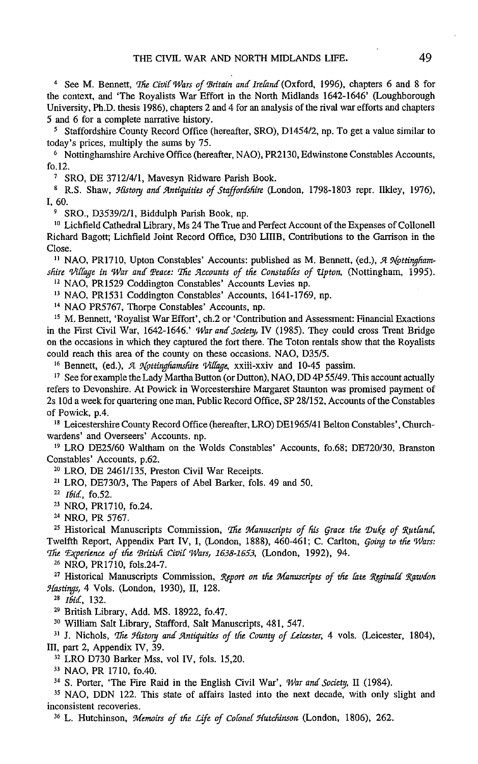<sup>4</sup> See M. Bennett, *The Civil Wars of Britain and Ireland* (Oxford, 1996), chapters 6 and 8 for the context, and 'The Royalists War Effort in the North Midlands 1642-1646' (Loughborough University, Ph.D. thesis 1986), chapters 2 and 4 for an analysis of the rival war efforts and chapters 5 and 6 for a complete narrative history.

<sup>5</sup> Staffordshire County Record Office (hereafter, SRO), D1454/2, np. To get a value similar to today's prices, multiply the sums by 75.

<sup>6</sup> Notting hamshire Archive Office (hereafter, NAO), PR2130, Edwinstone Constables Accounts, fo. $12$ .

<sup>7</sup> SRO, DE 3712/4/1, Mavesyn Ridware Parish Book.

<sup>8</sup> R.S. Shaw, History and Antiquities of Staffordshire (London, 1798-1803 repr. Ilkley, 1976),  $I.60.$ 

<sup>9</sup> SRO., D3539/2/1, Biddulph Parish Book, np.

<sup>10</sup> Lichfield Cathedral Library, Ms 24 The True and Perfect Account of the Expenses of Collonell Richard Bagott: Lichfield Joint Record Office. D30 LIIIB, Contributions to the Garrison in the Close.

<sup>11</sup> NAO, PR1710, Upton Constables' Accounts: published as M. Bennett, (ed.), A Nottinghamshire Village in War and Peace: The Accounts of the Constables of Upton, (Nottingham, 1995).

<sup>12</sup> NAO. PR1529 Coddington Constables' Accounts Levies np.

<sup>13</sup> NAO, PR1531 Coddington Constables' Accounts, 1641-1769, np.

<sup>14</sup> NAO PR5767, Thorpe Constables' Accounts, np.

<sup>15</sup> M. Bennett, 'Royalist War Effort', ch.2 or 'Contribution and Assessment: Financial Exactions in the First Civil War, 1642-1646.' War and Society, IV (1985). They could cross Trent Bridge on the occasions in which they captured the fort there. The Toton rentals show that the Royalists could reach this area of the county on these occasions. NAO, D35/5.

<sup>16</sup> Bennett, (ed.), A Nottinghamshire Village, xxiii-xxiv and 10-45 passim.

<sup>17</sup> See for example the Lady Martha Button (or Dutton), NAO, DD 4P 55/49. This account actually refers to Devonshire. At Powick in Worcestershire Margaret Staunton was promised payment of 2s 10d a week for quartering one man, Public Record Office, SP 28/152, Accounts of the Constables of Powick, p.4.

<sup>18</sup> Leicestershire County Record Office (hereafter, LRO) DE1965/41 Belton Constables', Churchwardens' and Overseers' Accounts. np.

<sup>19</sup> LRO DE25/60 Waltham on the Wolds Constables' Accounts, fo.68; DE720/30, Branston Constables' Accounts, p.62.

<sup>20</sup> LRO, DE 2461/135, Preston Civil War Receipts.

<sup>21</sup> LRO, DE730/3, The Papers of Abel Barker, fols. 49 and 50.

<sup>22</sup> Ibid., fo.52.

<sup>23</sup> NRO, PR1710, fo.24.

<sup>24</sup> NRO, PR 5767.

<sup>25</sup> Historical Manuscripts Commission, The Manuscripts of his Grace the Duke of Rutland, Twelfth Report, Appendix Part IV, I, (London, 1888), 460-461; C. Carlton, Going to the Wars: The Experience of the British Civil Wars, 1638-1653, (London, 1992), 94.

<sup>26</sup> NRO, PR1710, fols.24-7.

<sup>27</sup> Historical Manuscripts Commission, Report on the Manuscripts of the late Reginald Rawdon Hastings, 4 Vols. (London, 1930), II, 128.

<sup>28</sup> Ibid., 132.

<sup>29</sup> British Library, Add. MS. 18922, fo.47.

<sup>30</sup> William Salt Library, Stafford, Salt Manuscripts, 481, 547.

<sup>31</sup> J. Nichols, *The History and Antiquities of the County of Leicester*, 4 vols. (Leicester, 1804), III, part 2, Appendix IV, 39.

<sup>32</sup> LRO D730 Barker Mss, vol IV, fols. 15,20.

<sup>33</sup> NAO, PR 1710, fo.40.

<sup>34</sup> S. Porter, 'The Fire Raid in the English Civil War', War and Society, II (1984).

<sup>35</sup> NAO, DDN 122. This state of affairs lasted into the next decade, with only slight and inconsistent recoveries.

<sup>36</sup> L. Hutchinson, Memoirs of the Life of Colonel Hutchinson (London, 1806), 262.